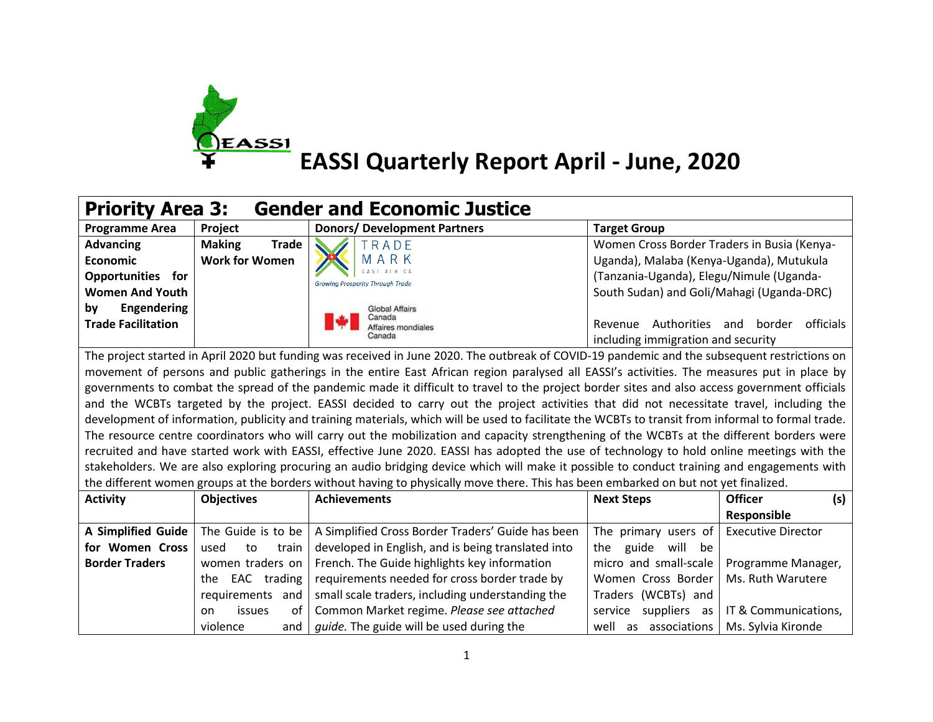

| <b>Gender and Economic Justice</b><br><b>Priority Area 3:</b>                                                                                 |                                                                                                                                                    |                                                                                                                                               |                                             |                                  |  |
|-----------------------------------------------------------------------------------------------------------------------------------------------|----------------------------------------------------------------------------------------------------------------------------------------------------|-----------------------------------------------------------------------------------------------------------------------------------------------|---------------------------------------------|----------------------------------|--|
| <b>Programme Area</b>                                                                                                                         | Project                                                                                                                                            | <b>Donors/ Development Partners</b>                                                                                                           | <b>Target Group</b>                         |                                  |  |
| <b>Advancing</b>                                                                                                                              | <b>Making</b><br><b>Trade</b>                                                                                                                      | TRADE                                                                                                                                         | Women Cross Border Traders in Busia (Kenya- |                                  |  |
| <b>Economic</b>                                                                                                                               | <b>Work for Women</b>                                                                                                                              | ARK<br>M                                                                                                                                      | Uganda), Malaba (Kenya-Uganda), Mutukula    |                                  |  |
| Opportunities for                                                                                                                             |                                                                                                                                                    | <b>Growing Prosperity Through Trade</b>                                                                                                       | (Tanzania-Uganda), Elegu/Nimule (Uganda-    |                                  |  |
| <b>Women And Youth</b>                                                                                                                        |                                                                                                                                                    |                                                                                                                                               | South Sudan) and Goli/Mahagi (Uganda-DRC)   |                                  |  |
| by<br>Engendering                                                                                                                             |                                                                                                                                                    | <b>Global Affairs</b>                                                                                                                         |                                             |                                  |  |
| <b>Trade Facilitation</b>                                                                                                                     |                                                                                                                                                    | Canada<br>Affaires mondiales                                                                                                                  | Revenue                                     | Authorities and border officials |  |
|                                                                                                                                               |                                                                                                                                                    | Canada                                                                                                                                        | including immigration and security          |                                  |  |
| The project started in April 2020 but funding was received in June 2020. The outbreak of COVID-19 pandemic and the subsequent restrictions on |                                                                                                                                                    |                                                                                                                                               |                                             |                                  |  |
| movement of persons and public gatherings in the entire East African region paralysed all EASSI's activities. The measures put in place by    |                                                                                                                                                    |                                                                                                                                               |                                             |                                  |  |
|                                                                                                                                               |                                                                                                                                                    | governments to combat the spread of the pandemic made it difficult to travel to the project border sites and also access government officials |                                             |                                  |  |
|                                                                                                                                               |                                                                                                                                                    | and the WCBTs targeted by the project. EASSI decided to carry out the project activities that did not necessitate travel, including the       |                                             |                                  |  |
|                                                                                                                                               | development of information, publicity and training materials, which will be used to facilitate the WCBTs to transit from informal to formal trade. |                                                                                                                                               |                                             |                                  |  |
| The resource centre coordinators who will carry out the mobilization and capacity strengthening of the WCBTs at the different borders were    |                                                                                                                                                    |                                                                                                                                               |                                             |                                  |  |
| recruited and have started work with EASSI, effective June 2020. EASSI has adopted the use of technology to hold online meetings with the     |                                                                                                                                                    |                                                                                                                                               |                                             |                                  |  |
| stakeholders. We are also exploring procuring an audio bridging device which will make it possible to conduct training and engagements with   |                                                                                                                                                    |                                                                                                                                               |                                             |                                  |  |
| the different women groups at the borders without having to physically move there. This has been embarked on but not yet finalized.           |                                                                                                                                                    |                                                                                                                                               |                                             |                                  |  |
| <b>Activity</b>                                                                                                                               | <b>Objectives</b>                                                                                                                                  | <b>Achievements</b>                                                                                                                           | <b>Next Steps</b>                           | <b>Officer</b><br>(s)            |  |
|                                                                                                                                               |                                                                                                                                                    |                                                                                                                                               |                                             | Responsible                      |  |
| A Simplified Guide                                                                                                                            | The Guide is to be                                                                                                                                 | A Simplified Cross Border Traders' Guide has been                                                                                             | The primary users of                        | <b>Executive Director</b>        |  |
| for Women Cross                                                                                                                               | used<br>train<br>to                                                                                                                                | developed in English, and is being translated into                                                                                            | guide<br>the<br>will be                     |                                  |  |
| <b>Border Traders</b>                                                                                                                         | women traders on                                                                                                                                   | French. The Guide highlights key information                                                                                                  | micro and small-scale                       | Programme Manager,               |  |
|                                                                                                                                               | EAC trading<br>the                                                                                                                                 | requirements needed for cross border trade by                                                                                                 | Women Cross Border                          | Ms. Ruth Warutere                |  |
|                                                                                                                                               | requirements and                                                                                                                                   | small scale traders, including understanding the                                                                                              | Traders (WCBTs) and                         |                                  |  |
|                                                                                                                                               | of<br><i>issues</i><br>on                                                                                                                          | Common Market regime. Please see attached                                                                                                     | suppliers as<br>service                     | IT & Communications,             |  |
|                                                                                                                                               | violence<br>and                                                                                                                                    | guide. The guide will be used during the                                                                                                      | well as associations                        | Ms. Sylvia Kironde               |  |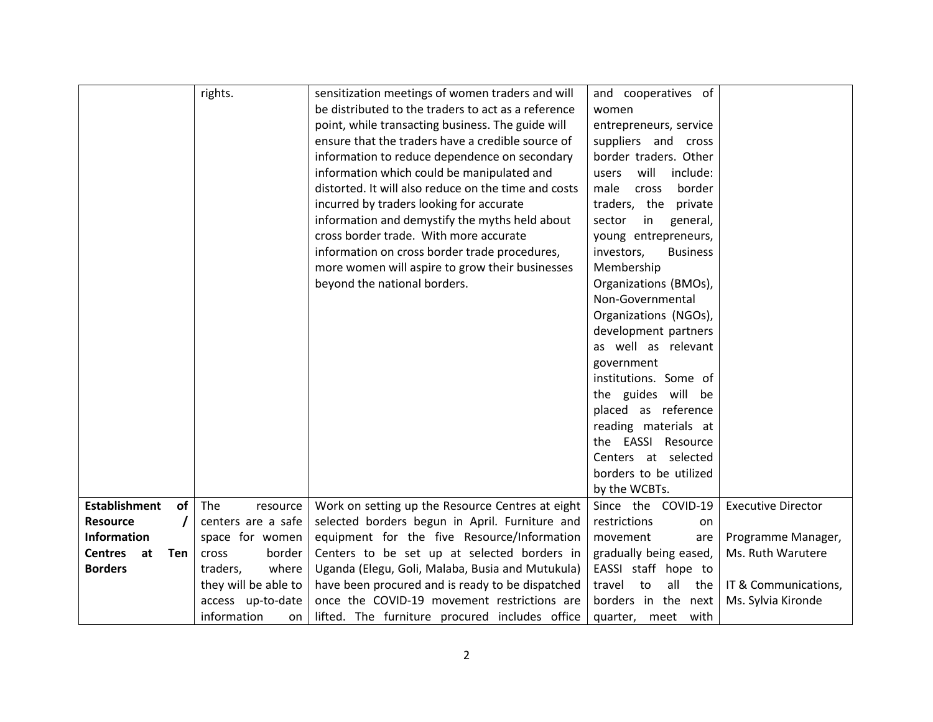|                             | rights.              | sensitization meetings of women traders and will     | and cooperatives of           |                           |
|-----------------------------|----------------------|------------------------------------------------------|-------------------------------|---------------------------|
|                             |                      | be distributed to the traders to act as a reference  | women                         |                           |
|                             |                      | point, while transacting business. The guide will    | entrepreneurs, service        |                           |
|                             |                      | ensure that the traders have a credible source of    | suppliers and cross           |                           |
|                             |                      | information to reduce dependence on secondary        | border traders. Other         |                           |
|                             |                      | information which could be manipulated and           | will<br>include:<br>users     |                           |
|                             |                      | distorted. It will also reduce on the time and costs | male<br>border<br>cross       |                           |
|                             |                      | incurred by traders looking for accurate             | traders, the<br>private       |                           |
|                             |                      | information and demystify the myths held about       | sector<br>in<br>general,      |                           |
|                             |                      | cross border trade. With more accurate               | young entrepreneurs,          |                           |
|                             |                      | information on cross border trade procedures,        | investors,<br><b>Business</b> |                           |
|                             |                      | more women will aspire to grow their businesses      | Membership                    |                           |
|                             |                      | beyond the national borders.                         | Organizations (BMOs),         |                           |
|                             |                      |                                                      | Non-Governmental              |                           |
|                             |                      |                                                      | Organizations (NGOs),         |                           |
|                             |                      |                                                      | development partners          |                           |
|                             |                      |                                                      | as well as relevant           |                           |
|                             |                      |                                                      | government                    |                           |
|                             |                      |                                                      | institutions. Some of         |                           |
|                             |                      |                                                      | the guides will be            |                           |
|                             |                      |                                                      | placed as reference           |                           |
|                             |                      |                                                      | reading materials at          |                           |
|                             |                      |                                                      | the EASSI Resource            |                           |
|                             |                      |                                                      | Centers at selected           |                           |
|                             |                      |                                                      | borders to be utilized        |                           |
|                             |                      |                                                      | by the WCBTs.                 |                           |
| <b>Establishment</b><br>of  | The<br>resource      | Work on setting up the Resource Centres at eight     | Since the COVID-19            | <b>Executive Director</b> |
| <b>Resource</b>             | centers are a safe   | selected borders begun in April. Furniture and       | restrictions<br>on            |                           |
| <b>Information</b>          | space for women      | equipment for the five Resource/Information          | movement<br>are               | Programme Manager,        |
| <b>Centres</b><br>at<br>Ten | cross<br>border      | Centers to be set up at selected borders in          | gradually being eased,        | Ms. Ruth Warutere         |
| <b>Borders</b>              | where<br>traders,    | Uganda (Elegu, Goli, Malaba, Busia and Mutukula)     | EASSI staff hope to           |                           |
|                             | they will be able to | have been procured and is ready to be dispatched     | travel<br>all<br>to<br>the    | IT & Communications,      |
|                             | access up-to-date    | once the COVID-19 movement restrictions are          | borders in the next           | Ms. Sylvia Kironde        |
|                             | information<br>on    | lifted. The furniture procured includes office       | with<br>quarter, meet         |                           |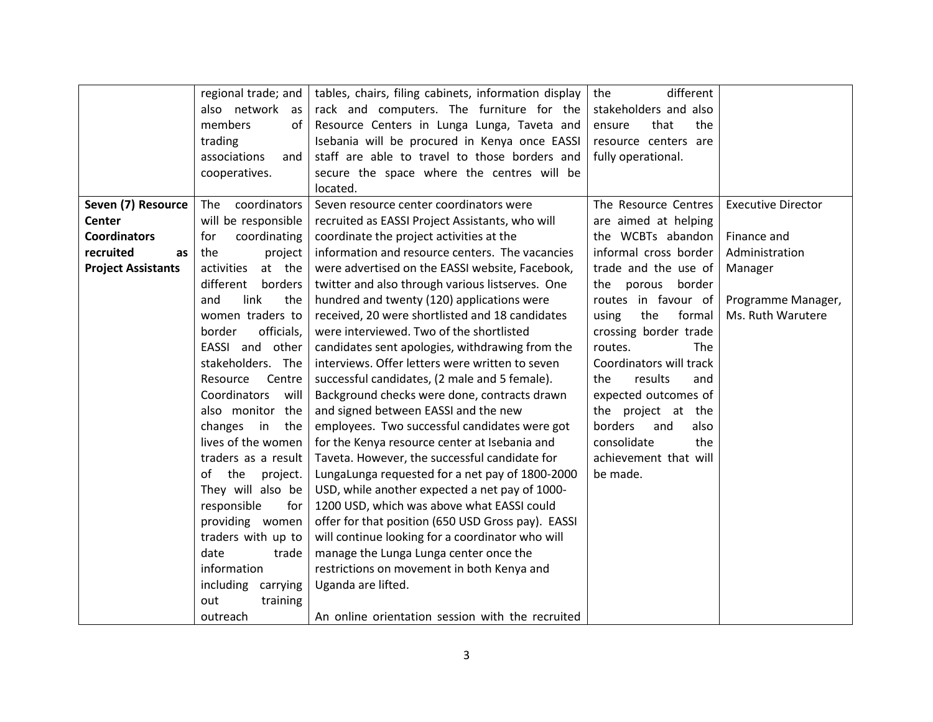|                           | regional trade; and   | tables, chairs, filing cabinets, information display | different<br>the        |                           |
|---------------------------|-----------------------|------------------------------------------------------|-------------------------|---------------------------|
|                           | also network as       | rack and computers. The furniture for the            | stakeholders and also   |                           |
|                           | members<br>of         | Resource Centers in Lunga Lunga, Taveta and          | that<br>the<br>ensure   |                           |
|                           | trading               | Isebania will be procured in Kenya once EASSI        | resource centers are    |                           |
|                           | associations<br>and   | staff are able to travel to those borders and        | fully operational.      |                           |
|                           | cooperatives.         | secure the space where the centres will be           |                         |                           |
|                           |                       | located.                                             |                         |                           |
| Seven (7) Resource        | coordinators<br>The   | Seven resource center coordinators were              | The Resource Centres    | <b>Executive Director</b> |
| Center                    | will be responsible   | recruited as EASSI Project Assistants, who will      | are aimed at helping    |                           |
| <b>Coordinators</b>       | coordinating<br>for   | coordinate the project activities at the             | the WCBTs abandon       | Finance and               |
| recruited<br>as           | the<br>project        | information and resource centers. The vacancies      | informal cross border   | Administration            |
| <b>Project Assistants</b> | activities<br>at the  | were advertised on the EASSI website, Facebook,      | trade and the use of    | Manager                   |
|                           | different<br>borders  | twitter and also through various listserves. One     | the porous<br>border    |                           |
|                           | link<br>the<br>and    | hundred and twenty (120) applications were           | routes in favour of     | Programme Manager,        |
|                           | women traders to      | received, 20 were shortlisted and 18 candidates      | the<br>formal<br>using  | Ms. Ruth Warutere         |
|                           | officials,<br>border  | were interviewed. Two of the shortlisted             | crossing border trade   |                           |
|                           | EASSI and other       | candidates sent apologies, withdrawing from the      | routes.<br><b>The</b>   |                           |
|                           | stakeholders. The     | interviews. Offer letters were written to seven      | Coordinators will track |                           |
|                           | Resource<br>Centre    | successful candidates, (2 male and 5 female).        | results<br>the<br>and   |                           |
|                           | Coordinators<br>will  | Background checks were done, contracts drawn         | expected outcomes of    |                           |
|                           | also monitor the      | and signed between EASSI and the new                 | the project at the      |                           |
|                           | changes in the        | employees. Two successful candidates were got        | borders<br>and<br>also  |                           |
|                           | lives of the women    | for the Kenya resource center at Isebania and        | consolidate<br>the      |                           |
|                           | traders as a result   | Taveta. However, the successful candidate for        | achievement that will   |                           |
|                           | of<br>the<br>project. | LungaLunga requested for a net pay of 1800-2000      | be made.                |                           |
|                           | They will also be     | USD, while another expected a net pay of 1000-       |                         |                           |
|                           | responsible<br>for    | 1200 USD, which was above what EASSI could           |                         |                           |
|                           | providing women       | offer for that position (650 USD Gross pay). EASSI   |                         |                           |
|                           | traders with up to    | will continue looking for a coordinator who will     |                         |                           |
|                           | date<br>trade         | manage the Lunga Lunga center once the               |                         |                           |
|                           | information           | restrictions on movement in both Kenya and           |                         |                           |
|                           | including<br>carrying | Uganda are lifted.                                   |                         |                           |
|                           | out<br>training       |                                                      |                         |                           |
|                           | outreach              | An online orientation session with the recruited     |                         |                           |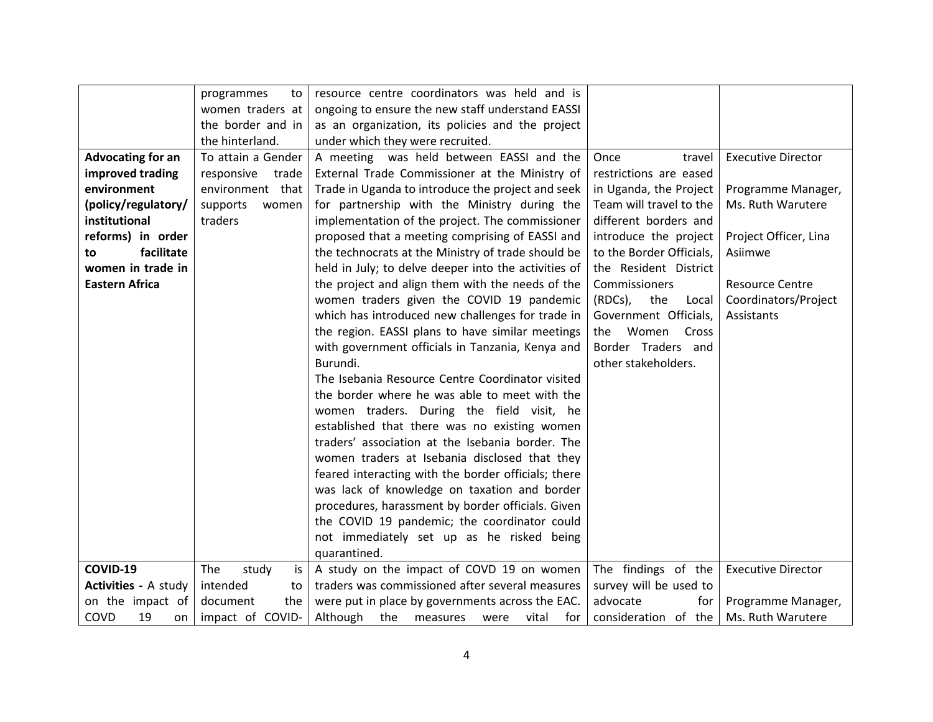|                             | programmes<br>to    | resource centre coordinators was held and is         |                          |                           |
|-----------------------------|---------------------|------------------------------------------------------|--------------------------|---------------------------|
|                             | women traders at    | ongoing to ensure the new staff understand EASSI     |                          |                           |
|                             | the border and in   | as an organization, its policies and the project     |                          |                           |
|                             | the hinterland.     | under which they were recruited.                     |                          |                           |
| <b>Advocating for an</b>    | To attain a Gender  | A meeting was held between EASSI and the             | Once<br>travel           | <b>Executive Director</b> |
| improved trading            | responsive<br>trade | External Trade Commissioner at the Ministry of       | restrictions are eased   |                           |
| environment                 | environment that    | Trade in Uganda to introduce the project and seek    | in Uganda, the Project   | Programme Manager,        |
| (policy/regulatory/         | supports<br>women   | for partnership with the Ministry during the         | Team will travel to the  | Ms. Ruth Warutere         |
| institutional               | traders             | implementation of the project. The commissioner      | different borders and    |                           |
| reforms) in order           |                     | proposed that a meeting comprising of EASSI and      | introduce the project    | Project Officer, Lina     |
| facilitate<br>to            |                     | the technocrats at the Ministry of trade should be   | to the Border Officials, | Asiimwe                   |
| women in trade in           |                     | held in July; to delve deeper into the activities of | the Resident District    |                           |
| <b>Eastern Africa</b>       |                     | the project and align them with the needs of the     | Commissioners            | <b>Resource Centre</b>    |
|                             |                     | women traders given the COVID 19 pandemic            | (RDCs),<br>the<br>Local  | Coordinators/Project      |
|                             |                     | which has introduced new challenges for trade in     | Government Officials,    | Assistants                |
|                             |                     | the region. EASSI plans to have similar meetings     | Women<br>Cross<br>the    |                           |
|                             |                     | with government officials in Tanzania, Kenya and     | Border Traders and       |                           |
|                             |                     | Burundi.                                             | other stakeholders.      |                           |
|                             |                     | The Isebania Resource Centre Coordinator visited     |                          |                           |
|                             |                     | the border where he was able to meet with the        |                          |                           |
|                             |                     | women traders. During the field visit, he            |                          |                           |
|                             |                     | established that there was no existing women         |                          |                           |
|                             |                     | traders' association at the Isebania border. The     |                          |                           |
|                             |                     | women traders at Isebania disclosed that they        |                          |                           |
|                             |                     | feared interacting with the border officials; there  |                          |                           |
|                             |                     | was lack of knowledge on taxation and border         |                          |                           |
|                             |                     | procedures, harassment by border officials. Given    |                          |                           |
|                             |                     | the COVID 19 pandemic; the coordinator could         |                          |                           |
|                             |                     | not immediately set up as he risked being            |                          |                           |
|                             |                     | quarantined.                                         |                          |                           |
| COVID-19                    | The<br>study<br>is  | A study on the impact of COVD 19 on women            | The findings of the      | <b>Executive Director</b> |
| <b>Activities - A study</b> | intended<br>to      | traders was commissioned after several measures      | survey will be used to   |                           |
| on the impact of            | document<br>the     | were put in place by governments across the EAC.     | advocate<br>for          | Programme Manager,        |
| COVD<br>19<br>on            | impact of COVID-    | Although the<br>vital<br>measures<br>tor<br>were     | consideration of the     | Ms. Ruth Warutere         |